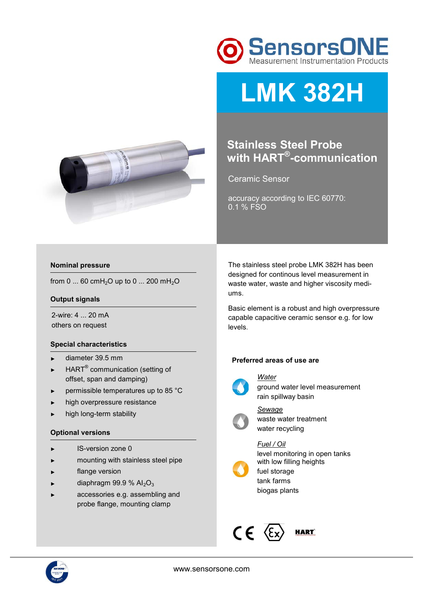



# **LMK 382H**

## **Stainless Steel Probe with HART® -communication**

Ceramic Sensor

accuracy according to IEC 60770: 0.1 % FSO

#### **Nominal pressure**

from 0 ... 60 cmH<sub>2</sub>O up to 0 ... 200 mH<sub>2</sub>O

#### **Output signals**

2-wire: 4 ... 20 mA others on request

#### **Special characteristics**

- ► diameter 39.5 mm
- $\blacktriangleright$  HART<sup>®</sup> communication (setting of offset, span and damping)
- permissible temperatures up to 85 °C
- high overpressure resistance
- high long-term stability

#### **Optional versions**

- ► IS-version zone 0
- ► mounting with stainless steel pipe
- flange version
- $\blacktriangleright$  diaphragm 99.9 % Al<sub>2</sub>O<sub>3</sub>
- accessories e.g. assembling and probe flange, mounting clamp

The stainless steel probe LMK 382H has been designed for continous level measurement in waste water, waste and higher viscosity mediums.

Basic element is a robust and high overpressure capable capacitive ceramic sensor e.g. for low levels.

#### **Preferred areas of use are**



*Water*  ground water level measurement rain spillway basin



waste water treatment water recycling

### *Fuel / Oil*

biogas plants

*Sewage* 



level monitoring in open tanks with low filling heights fuel storage tank farms



**HART** 

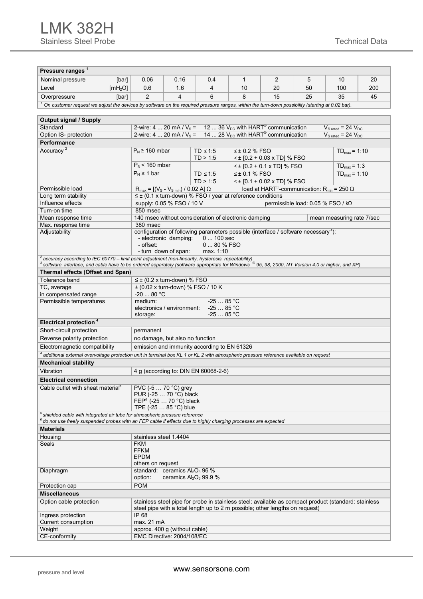| Pressure ranges <sup>1</sup>                                                                                                                                                                                                                       |                                                                                                                                                                                                        |                                                                                |                       |                                                                                                      |    |                                                                                                                               |                                   |                           |     |  |  |  |  |  |
|----------------------------------------------------------------------------------------------------------------------------------------------------------------------------------------------------------------------------------------------------|--------------------------------------------------------------------------------------------------------------------------------------------------------------------------------------------------------|--------------------------------------------------------------------------------|-----------------------|------------------------------------------------------------------------------------------------------|----|-------------------------------------------------------------------------------------------------------------------------------|-----------------------------------|---------------------------|-----|--|--|--|--|--|
| Nominal pressure                                                                                                                                                                                                                                   | [bar]                                                                                                                                                                                                  | 0.06                                                                           | 0.16                  | 0.4                                                                                                  | 1  | 2                                                                                                                             | 5                                 | 10                        | 20  |  |  |  |  |  |
| Level                                                                                                                                                                                                                                              | [mH <sub>2</sub> O]                                                                                                                                                                                    | 0.6                                                                            | 1.6                   | 4                                                                                                    | 10 | 20                                                                                                                            | 50                                | 100                       | 200 |  |  |  |  |  |
|                                                                                                                                                                                                                                                    |                                                                                                                                                                                                        | 2                                                                              | 4                     | 6                                                                                                    | 8  | 15                                                                                                                            | 25                                | 35                        | 45  |  |  |  |  |  |
| Overpressure                                                                                                                                                                                                                                       | [bar]                                                                                                                                                                                                  |                                                                                |                       |                                                                                                      |    |                                                                                                                               |                                   |                           |     |  |  |  |  |  |
|                                                                                                                                                                                                                                                    | $^1$ On customer request we adjust the devices by software on the required pressure ranges, within the turn-down possibility (starting at 0.02 bar).                                                   |                                                                                |                       |                                                                                                      |    |                                                                                                                               |                                   |                           |     |  |  |  |  |  |
| <b>Output signal / Supply</b>                                                                                                                                                                                                                      |                                                                                                                                                                                                        |                                                                                |                       |                                                                                                      |    |                                                                                                                               |                                   |                           |     |  |  |  |  |  |
| Standard                                                                                                                                                                                                                                           |                                                                                                                                                                                                        |                                                                                |                       |                                                                                                      |    |                                                                                                                               |                                   |                           |     |  |  |  |  |  |
| Option IS- protection                                                                                                                                                                                                                              | 2-wire: 4  20 mA / $V_s$ = 12  36 $V_{DC}$ with HART <sup>®</sup> communication<br>$V_{S \text{ rated}} = 24 V_{DC}$<br>2-wire: 4  20 mA / $V_s = 14$ 28 $V_{DC}$ with HART <sup>®</sup> communication |                                                                                |                       |                                                                                                      |    |                                                                                                                               |                                   |                           |     |  |  |  |  |  |
| $V_{S \text{ rated}} = 24 V_{DC}$<br>Performance                                                                                                                                                                                                   |                                                                                                                                                                                                        |                                                                                |                       |                                                                                                      |    |                                                                                                                               |                                   |                           |     |  |  |  |  |  |
| Accuracy <sup>2</sup><br>$P_N \ge 160$ mbar<br>$\leq$ ± 0.2 % FSO<br>$TD \leq 1:5$<br>$TD_{max} = 1:10$                                                                                                                                            |                                                                                                                                                                                                        |                                                                                |                       |                                                                                                      |    |                                                                                                                               |                                   |                           |     |  |  |  |  |  |
| TD > 1:5<br>$\leq$ ± [0.2 + 0.03 x TD] % FSO                                                                                                                                                                                                       |                                                                                                                                                                                                        |                                                                                |                       |                                                                                                      |    |                                                                                                                               |                                   |                           |     |  |  |  |  |  |
|                                                                                                                                                                                                                                                    |                                                                                                                                                                                                        | $P_N$ < 160 mbar                                                               |                       |                                                                                                      |    | $TD_{max} = 1:3$                                                                                                              |                                   |                           |     |  |  |  |  |  |
|                                                                                                                                                                                                                                                    |                                                                                                                                                                                                        | $P_N \geq 1$ bar                                                               |                       | TD $\leq 1:5$                                                                                        |    | $TD_{max} = 1:10$                                                                                                             |                                   |                           |     |  |  |  |  |  |
|                                                                                                                                                                                                                                                    |                                                                                                                                                                                                        |                                                                                |                       |                                                                                                      |    |                                                                                                                               |                                   |                           |     |  |  |  |  |  |
| Permissible load                                                                                                                                                                                                                                   |                                                                                                                                                                                                        | $R_{\text{max}} = [(V_{\text{S}} - V_{\text{S min}}) / 0.02 \text{ A}] \Omega$ |                       | TD > 1:5                                                                                             |    | $\leq$ ± [0.1 + 0.02 x TD] % FSO<br>load at HART <sup><math>\Box</math></sup> -communication: R <sub>min</sub> = 250 $\Omega$ |                                   |                           |     |  |  |  |  |  |
| Long term stability                                                                                                                                                                                                                                |                                                                                                                                                                                                        |                                                                                |                       | $\leq \pm$ (0.1 x turn-down) % FSO / year at reference conditions                                    |    |                                                                                                                               |                                   |                           |     |  |  |  |  |  |
| Influence effects                                                                                                                                                                                                                                  |                                                                                                                                                                                                        | supply: 0.05 % FSO / 10 V                                                      |                       |                                                                                                      |    |                                                                                                                               | permissible load: 0.05 % FSO / kΩ |                           |     |  |  |  |  |  |
| Turn-on time                                                                                                                                                                                                                                       |                                                                                                                                                                                                        | 850 msec                                                                       |                       |                                                                                                      |    |                                                                                                                               |                                   |                           |     |  |  |  |  |  |
| Mean response time                                                                                                                                                                                                                                 |                                                                                                                                                                                                        |                                                                                |                       | 140 msec without consideration of electronic damping                                                 |    |                                                                                                                               |                                   | mean measuring rate 7/sec |     |  |  |  |  |  |
| Max. response time                                                                                                                                                                                                                                 |                                                                                                                                                                                                        | 380 msec                                                                       |                       |                                                                                                      |    |                                                                                                                               |                                   |                           |     |  |  |  |  |  |
| Adjustability                                                                                                                                                                                                                                      |                                                                                                                                                                                                        |                                                                                |                       | configuration of following parameters possible (interface / software necessary <sup>3</sup> ):       |    |                                                                                                                               |                                   |                           |     |  |  |  |  |  |
|                                                                                                                                                                                                                                                    |                                                                                                                                                                                                        | - offset:                                                                      | - electronic damping: | $0100$ sec<br>0  80 % FSO                                                                            |    |                                                                                                                               |                                   |                           |     |  |  |  |  |  |
|                                                                                                                                                                                                                                                    |                                                                                                                                                                                                        |                                                                                | - turn down of span:  | max. 1:10                                                                                            |    |                                                                                                                               |                                   |                           |     |  |  |  |  |  |
| <sup>2</sup> accuracy according to IEC 60770 – limit point adjustment (non-linearity, hysteresis, repeatability)<br><sup>3</sup> software, interface, and cable have to be ordered separately (software appropriate for Windows ® 95, 98, 2000, NT |                                                                                                                                                                                                        |                                                                                |                       |                                                                                                      |    |                                                                                                                               |                                   |                           |     |  |  |  |  |  |
|                                                                                                                                                                                                                                                    |                                                                                                                                                                                                        |                                                                                |                       |                                                                                                      |    |                                                                                                                               |                                   |                           |     |  |  |  |  |  |
| Thermal effects (Offset and Span)                                                                                                                                                                                                                  |                                                                                                                                                                                                        |                                                                                |                       |                                                                                                      |    |                                                                                                                               |                                   |                           |     |  |  |  |  |  |
| Tolerance band                                                                                                                                                                                                                                     |                                                                                                                                                                                                        | $\leq \pm$ (0.2 x turn-down) % FSO                                             |                       |                                                                                                      |    |                                                                                                                               |                                   |                           |     |  |  |  |  |  |
| TC, average                                                                                                                                                                                                                                        |                                                                                                                                                                                                        |                                                                                |                       | $\pm$ (0.02 x turn-down) % FSO / 10 K                                                                |    |                                                                                                                               |                                   |                           |     |  |  |  |  |  |
| in compensated range                                                                                                                                                                                                                               |                                                                                                                                                                                                        | $-20$ 80 °C                                                                    |                       |                                                                                                      |    |                                                                                                                               |                                   |                           |     |  |  |  |  |  |
|                                                                                                                                                                                                                                                    | $-2585 °C$<br>Permissible temperatures<br>medium:<br>$-2585 °C$<br>electronics / environment:                                                                                                          |                                                                                |                       |                                                                                                      |    |                                                                                                                               |                                   |                           |     |  |  |  |  |  |
|                                                                                                                                                                                                                                                    |                                                                                                                                                                                                        | storage:                                                                       |                       | $-2585$ °C                                                                                           |    |                                                                                                                               |                                   |                           |     |  |  |  |  |  |
| Electrical protection <sup>4</sup>                                                                                                                                                                                                                 |                                                                                                                                                                                                        |                                                                                |                       |                                                                                                      |    |                                                                                                                               |                                   |                           |     |  |  |  |  |  |
| Short-circuit protection                                                                                                                                                                                                                           |                                                                                                                                                                                                        | permanent                                                                      |                       |                                                                                                      |    |                                                                                                                               |                                   |                           |     |  |  |  |  |  |
| Reverse polarity protection                                                                                                                                                                                                                        |                                                                                                                                                                                                        | no damage, but also no function                                                |                       |                                                                                                      |    |                                                                                                                               |                                   |                           |     |  |  |  |  |  |
| Electromagnetic compatibility                                                                                                                                                                                                                      |                                                                                                                                                                                                        |                                                                                |                       | emission and immunity according to EN 61326                                                          |    |                                                                                                                               |                                   |                           |     |  |  |  |  |  |
| 4 additional external overvoltage protection unit in terminal box KL 1 or KL 2 with atmospheric pressure reference available on request                                                                                                            |                                                                                                                                                                                                        |                                                                                |                       |                                                                                                      |    |                                                                                                                               |                                   |                           |     |  |  |  |  |  |
| <b>Mechanical stability</b>                                                                                                                                                                                                                        |                                                                                                                                                                                                        |                                                                                |                       |                                                                                                      |    |                                                                                                                               |                                   |                           |     |  |  |  |  |  |
| Vibration<br>4 g (according to: DIN EN 60068-2-6)                                                                                                                                                                                                  |                                                                                                                                                                                                        |                                                                                |                       |                                                                                                      |    |                                                                                                                               |                                   |                           |     |  |  |  |  |  |
| <b>Electrical connection</b>                                                                                                                                                                                                                       |                                                                                                                                                                                                        |                                                                                |                       |                                                                                                      |    |                                                                                                                               |                                   |                           |     |  |  |  |  |  |
| PVC (-5  70 °C) grey<br>Cable outlet with sheat material <sup>5</sup>                                                                                                                                                                              |                                                                                                                                                                                                        |                                                                                |                       |                                                                                                      |    |                                                                                                                               |                                   |                           |     |  |  |  |  |  |
| PUR (-25  70 °C) black                                                                                                                                                                                                                             |                                                                                                                                                                                                        |                                                                                |                       |                                                                                                      |    |                                                                                                                               |                                   |                           |     |  |  |  |  |  |
| FEP <sup>6</sup> $(-2570 °C)$ black                                                                                                                                                                                                                |                                                                                                                                                                                                        |                                                                                |                       |                                                                                                      |    |                                                                                                                               |                                   |                           |     |  |  |  |  |  |
| TPE (-25  85 °C) blue<br>$5$ shielded cable with integrated air tube for atmospheric pressure reference                                                                                                                                            |                                                                                                                                                                                                        |                                                                                |                       |                                                                                                      |    |                                                                                                                               |                                   |                           |     |  |  |  |  |  |
| $^6$ do not use freely suspended probes with an FEP cable if effects due to highly charging processes are expected                                                                                                                                 |                                                                                                                                                                                                        |                                                                                |                       |                                                                                                      |    |                                                                                                                               |                                   |                           |     |  |  |  |  |  |
| <b>Materials</b>                                                                                                                                                                                                                                   |                                                                                                                                                                                                        |                                                                                |                       |                                                                                                      |    |                                                                                                                               |                                   |                           |     |  |  |  |  |  |
| Housing                                                                                                                                                                                                                                            |                                                                                                                                                                                                        | stainless steel 1.4404                                                         |                       |                                                                                                      |    |                                                                                                                               |                                   |                           |     |  |  |  |  |  |
| Seals                                                                                                                                                                                                                                              | <b>FKM</b>                                                                                                                                                                                             |                                                                                |                       |                                                                                                      |    |                                                                                                                               |                                   |                           |     |  |  |  |  |  |
|                                                                                                                                                                                                                                                    |                                                                                                                                                                                                        | <b>FFKM</b><br><b>EPDM</b>                                                     |                       |                                                                                                      |    |                                                                                                                               |                                   |                           |     |  |  |  |  |  |
|                                                                                                                                                                                                                                                    |                                                                                                                                                                                                        | others on request                                                              |                       |                                                                                                      |    |                                                                                                                               |                                   |                           |     |  |  |  |  |  |
| standard: ceramics $Al_2O_3$ 96 %<br>Diaphragm                                                                                                                                                                                                     |                                                                                                                                                                                                        |                                                                                |                       |                                                                                                      |    |                                                                                                                               |                                   |                           |     |  |  |  |  |  |
|                                                                                                                                                                                                                                                    | option:<br>ceramics $Al_2O_3$ 99.9 %                                                                                                                                                                   |                                                                                |                       |                                                                                                      |    |                                                                                                                               |                                   |                           |     |  |  |  |  |  |
| <b>POM</b><br>Protection cap                                                                                                                                                                                                                       |                                                                                                                                                                                                        |                                                                                |                       |                                                                                                      |    |                                                                                                                               |                                   |                           |     |  |  |  |  |  |
| <b>Miscellaneous</b>                                                                                                                                                                                                                               |                                                                                                                                                                                                        |                                                                                |                       |                                                                                                      |    |                                                                                                                               |                                   |                           |     |  |  |  |  |  |
| Option cable protection                                                                                                                                                                                                                            |                                                                                                                                                                                                        |                                                                                |                       | stainless steel pipe for probe in stainless steel: available as compact product (standard: stainless |    |                                                                                                                               |                                   |                           |     |  |  |  |  |  |
|                                                                                                                                                                                                                                                    |                                                                                                                                                                                                        |                                                                                |                       | steel pipe with a total length up to 2 m possible; other lengths on request)                         |    |                                                                                                                               |                                   |                           |     |  |  |  |  |  |
| Ingress protection<br>Current consumption                                                                                                                                                                                                          |                                                                                                                                                                                                        | IP 68<br>max. 21 mA                                                            |                       |                                                                                                      |    |                                                                                                                               |                                   |                           |     |  |  |  |  |  |
| Weight                                                                                                                                                                                                                                             |                                                                                                                                                                                                        | approx. 400 g (without cable)                                                  |                       |                                                                                                      |    |                                                                                                                               |                                   |                           |     |  |  |  |  |  |
| CE-conformity                                                                                                                                                                                                                                      | EMC Directive: 2004/108/EC                                                                                                                                                                             |                                                                                |                       |                                                                                                      |    |                                                                                                                               |                                   |                           |     |  |  |  |  |  |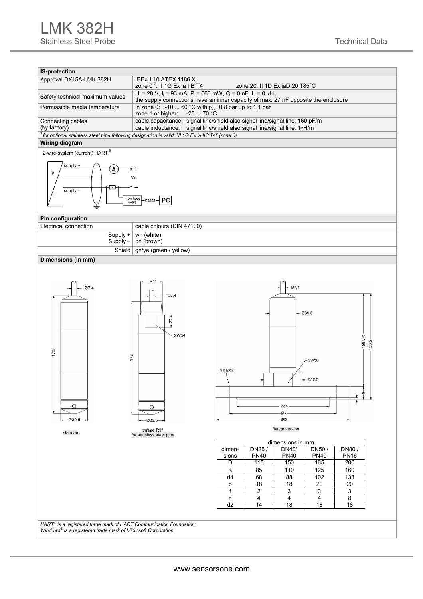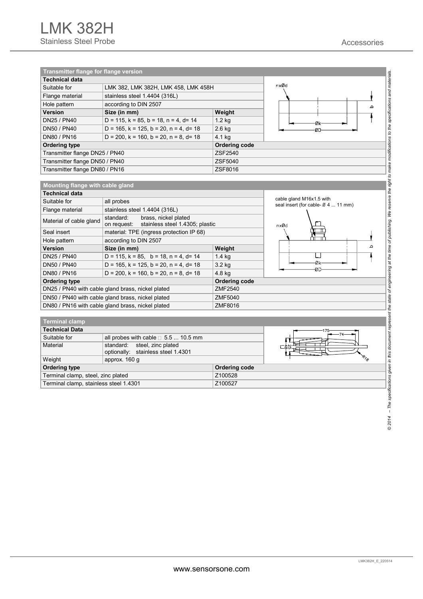

|                                        |        | <b>ODIONAILY:</b> Stainless steel 1.4301 |               |  |  |  |  |  |  |
|----------------------------------------|--------|------------------------------------------|---------------|--|--|--|--|--|--|
|                                        | Weight | approx. 160 q                            |               |  |  |  |  |  |  |
| <b>Ordering type</b>                   |        |                                          | Ordering code |  |  |  |  |  |  |
| Terminal clamp, steel, zinc plated     |        |                                          | Z100528       |  |  |  |  |  |  |
| Terminal clamp, stainless steel 1.4301 |        |                                          | Z100527       |  |  |  |  |  |  |
|                                        |        |                                          |               |  |  |  |  |  |  |